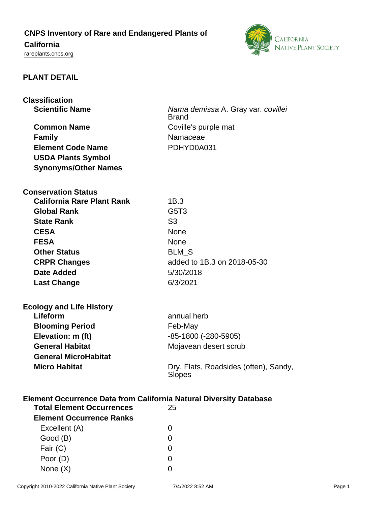# **CNPS Inventory of Rare and Endangered Plants of**

# **California**

<rareplants.cnps.org>



## **PLANT DETAIL**

| <b>Classification</b>                                              |                                                        |
|--------------------------------------------------------------------|--------------------------------------------------------|
| <b>Scientific Name</b>                                             | Nama demissa A. Gray var. covillei                     |
|                                                                    | <b>Brand</b>                                           |
| <b>Common Name</b>                                                 | Coville's purple mat                                   |
| <b>Family</b>                                                      | Namaceae                                               |
| <b>Element Code Name</b>                                           | PDHYD0A031                                             |
| <b>USDA Plants Symbol</b>                                          |                                                        |
| <b>Synonyms/Other Names</b>                                        |                                                        |
|                                                                    |                                                        |
| <b>Conservation Status</b>                                         |                                                        |
| <b>California Rare Plant Rank</b>                                  | 1B.3                                                   |
| <b>Global Rank</b>                                                 | G <sub>5</sub> T <sub>3</sub>                          |
| <b>State Rank</b>                                                  | S <sub>3</sub>                                         |
| <b>CESA</b>                                                        | <b>None</b>                                            |
| <b>FESA</b>                                                        | <b>None</b>                                            |
| <b>Other Status</b>                                                | <b>BLM S</b>                                           |
| <b>CRPR Changes</b>                                                | added to 1B.3 on 2018-05-30                            |
| <b>Date Added</b>                                                  | 5/30/2018                                              |
| <b>Last Change</b>                                                 | 6/3/2021                                               |
|                                                                    |                                                        |
|                                                                    |                                                        |
| <b>Ecology and Life History</b><br>Lifeform                        | annual herb                                            |
| <b>Blooming Period</b>                                             | Feb-May                                                |
| Elevation: m (ft)                                                  | -85-1800 (-280-5905)                                   |
| <b>General Habitat</b>                                             | Mojavean desert scrub                                  |
| <b>General MicroHabitat</b>                                        |                                                        |
| <b>Micro Habitat</b>                                               |                                                        |
|                                                                    | Dry, Flats, Roadsides (often), Sandy,<br><b>Slopes</b> |
|                                                                    |                                                        |
| Element Occurrence Data from California Natural Diversity Database |                                                        |
| <b>Total Element Occurrences</b>                                   | 25                                                     |
| <b>Element Occurrence Ranks</b>                                    |                                                        |
| Excellent (A)                                                      | 0                                                      |
| Good (B)                                                           | 0                                                      |
|                                                                    |                                                        |
| Fair (C)                                                           | 0                                                      |
| Poor (D)                                                           | 0                                                      |

None  $(X)$  0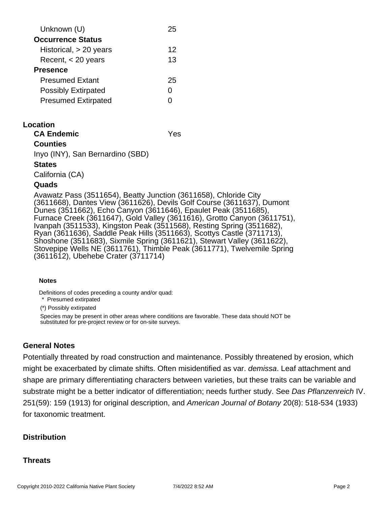| Unknown (U)                | 25 |
|----------------------------|----|
| <b>Occurrence Status</b>   |    |
| Historical, $> 20$ years   | 12 |
| Recent, $<$ 20 years       | 13 |
| <b>Presence</b>            |    |
| <b>Presumed Extant</b>     | 25 |
| <b>Possibly Extirpated</b> | O  |
| <b>Presumed Extirpated</b> |    |
|                            |    |

### **Location**

**CA Endemic** Yes

## **Counties**

Inyo (INY), San Bernardino (SBD)

#### **States**

California (CA)

#### **Quads**

Avawatz Pass (3511654), Beatty Junction (3611658), Chloride City (3611668), Dantes View (3611626), Devils Golf Course (3611637), Dumont Dunes (3511662), Echo Canyon (3611646), Epaulet Peak (3511685), Furnace Creek (3611647), Gold Valley (3611616), Grotto Canyon (3611751), Ivanpah (3511533), Kingston Peak (3511568), Resting Spring (3511682), Ryan (3611636), Saddle Peak Hills (3511663), Scottys Castle (3711713), Shoshone (3511683), Sixmile Spring (3611621), Stewart Valley (3611622), Stovepipe Wells NE (3611761), Thimble Peak (3611771), Twelvemile Spring (3611612), Ubehebe Crater (3711714)

#### **Notes**

Definitions of codes preceding a county and/or quad:

\* Presumed extirpated

(\*) Possibly extirpated

Species may be present in other areas where conditions are favorable. These data should NOT be substituted for pre-project review or for on-site surveys.

## **General Notes**

Potentially threated by road construction and maintenance. Possibly threatened by erosion, which might be exacerbated by climate shifts. Often misidentified as var. *demissa*. Leaf attachment and shape are primary differentiating characters between varieties, but these traits can be variable and substrate might be a better indicator of differentiation; needs further study. See Das Pflanzenreich IV. 251(59): 159 (1913) for original description, and American Journal of Botany 20(8): 518-534 (1933) for taxonomic treatment.

## **Distribution**

## **Threats**